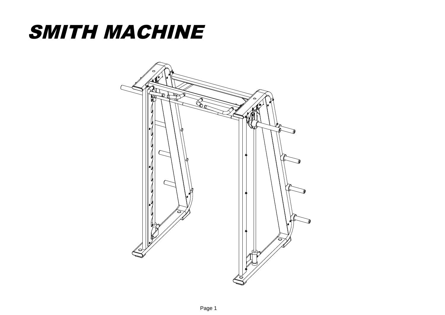## SMITH MACHINE

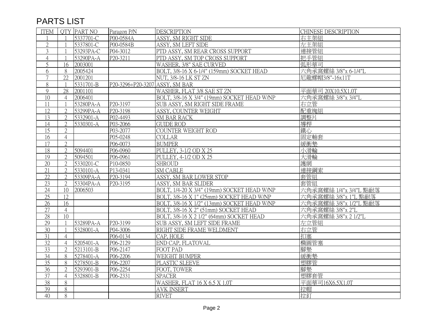## PARTS LIST

| <b>ITEM</b>     |                 | OTY PART NO | Paragon P/N                    | <b>DESCRIPTION</b>                          | CHINESE DESCRIPTION    |
|-----------------|-----------------|-------------|--------------------------------|---------------------------------------------|------------------------|
|                 |                 | 5337701-C   | P00-0584A                      | ASSY, SM RIGHT SIDE                         | 右主架組                   |
| $\mathfrak{2}$  |                 | 5337801-C   | P00-0584B                      | ASSY, SM LEFT SIDE                          | 左主架組                   |
| $\mathfrak{Z}$  |                 | 53293PA-C   | P04-3012                       | PTD ASSY, SM REAR CROSS SUPPORT             | 連接管組                   |
| $\overline{4}$  |                 | 53290PA-A   | P20-3211                       | PTD ASSY, SM TOP CROSS SUPPORT              | 把手管組                   |
| 5               | 16              | 2003001     |                                | WASHER, 3/8" SAE CURVED                     | 弧形華司                   |
| 6               | 8               | 2005424     |                                | BOLT, 3/8-16 X 6-1/4" (159mm) SOCKET HEAD   | 六角承窩螺絲 3/8"x 6-1/4"L   |
| $\overline{7}$  | 22              | 2001201     |                                | NUT, 3/8-16 LK ST ZN                        | 后龍螺帽3/8"-16x11T        |
| 8               |                 | 5331701-B   | P20-3296+P20-3207 ASSY, SM BAR |                                             |                        |
| 9               | 28              | 2001101     |                                | WASHER, FLAT 3/8 SAE ST ZN                  | 平面華司 20X10.5X1.0T      |
| $\overline{10}$ | $\overline{4}$  | 2006401     |                                | BOLT, 3/8-16 X 3/4" (19mm) SOCKET HEAD W/NP | 六角承窩螺絲 3/8"x 3/4"L     |
| 11              |                 | 53280PA-A   | P20-3197                       | SUB ASSY, SM RIGHT SIDE FRAME               | 右立管                    |
| 12              | $\overline{2}$  | 53299PA-A   | P20-3198                       | ASSY, COUNTER WEIGHT                        | 配重塊組                   |
| 13              | $\overline{2}$  | 5332901-A   | P02-4493                       | <b>SM BAR RACK</b>                          | 調整片                    |
| 14              | $\overline{2}$  | 5330301-A   | P03-2066                       | <b>GUIDE ROD</b>                            | 導桿                     |
| 15              | $\overline{2}$  |             | P03-2077                       | COUNTER WEIGHT ROD                          | 鐵心                     |
| 16              | $\overline{4}$  |             | P05-0248                       | <b>COLLAR</b>                               | 固定軸套                   |
| 17              | $\overline{2}$  |             | P06-0073                       | <b>BUMPER</b>                               | 緩衝墊                    |
| 18              | $\overline{2}$  | 5094401     | P06-0960                       | PULLEY, 3-1/2 OD X 25                       | 小滑輪                    |
| 19              | $\overline{2}$  | 5094501     | P06-0961                       | PULLEY, 4-1/2 OD X 25                       | 大滑輪                    |
| 20              | $\overline{2}$  | 5330201-C   | P10-0850                       | <b>SHROUD</b>                               | 護網                     |
| 21              | $\overline{2}$  | 5330101-A   | P13-0341                       | <b>SM CABLE</b>                             | 連接鋼索                   |
| 22              | $\overline{2}$  | 53309PA-A   | P20-3194                       | ASSY, SM BAR LOWER STOP                     | 套管組                    |
| 23              | $\overline{2}$  | 53304PA-A   | P20-3195                       | ASSY, SM BAR SLIDER                         | 套管組                    |
| 24              | 10              | 2006503     |                                | BOLT, 1/4-20 X 3/4" (19mm) SOCKET HEAD W/NP | 六角承窩螺絲 1/4"x 3/4"L 點耐落 |
| $\overline{25}$ | 12              |             |                                | BOLT, 3/8-16 X 1" (25mm) SOCKET HEAD W/NP   | 六角承窩螺絲 3/8"x 1"L 點耐落   |
| 26              | 16              |             |                                | BOLT, 3/8-16 X 1/2" (13mm) SOCKET HEAD W/NP | 六角承窩螺絲 3/8"x 1/2"L 點耐落 |
| 27              | $\overline{4}$  |             |                                | BOLT, 3/8-16 X 2" (51mm) SOCKET HEAD        | 六角承窩螺絲 3/8"x 2"L       |
| 28              | 10 <sup>1</sup> |             |                                | BOLT, 3/8-16 X 2 1/2" (64mm) SOCKET HEAD    | 六角承窩螺絲 3/8"x 2 1/2"L   |
| 29              |                 | 53289PA-A   | P20-3199                       | SUB ASSY, SM LEFT SIDE FRAME                | 左立管組                   |
| 30              |                 | 5328001-A   | P04-3006                       | RIGHT SIDE FRAME WELDMENT                   | 右立管                    |
| 31              | $\overline{4}$  |             | P06-0134                       | CAP, HOLE                                   | 扣塞                     |
| $\overline{32}$ | $\overline{4}$  | 5205401-A   | P06-2129                       | END CAP, FLATOVAL                           | 橢圓管塞                   |
| 33              | $\overline{2}$  | 5213101-B   | P06-2147                       | FOOT PAD                                    | 腳墊                     |
| $\overline{34}$ | 8               | 5278401-A   | P06-2206                       | WEIGHT BUMPER                               | 緩衝墊                    |
| 35              | 8               | 5278501-B   | P06-2207                       | PLASTIC SLEEVE                              | 塑膠管                    |
| $\overline{36}$ | $\overline{2}$  | 5293901-B   | P06-2254                       | FOOT, TOWER                                 | 腳墊                     |
| 37              | $\overline{4}$  | 5328801-B   | P06-2331                       | <b>SPACER</b>                               | 塑膠套管                   |
| 38              | 8               |             |                                | WASHER, FLAT 16 X 6.5 X 1.0T                | 平面華司16X6.5X1.0T        |
| 39              | 8               |             |                                | <b>AVK INSERT</b>                           | 拉帽                     |
| 40              | 8               |             |                                | <b>RIVET</b>                                | 拉釘                     |
|                 |                 |             |                                |                                             |                        |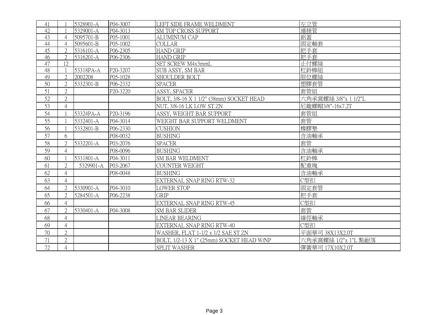| 41 |                | 5328901-A | P04-3007 | LEFT SIDE FRAME WELDMENT                  | 左立管                  |
|----|----------------|-----------|----------|-------------------------------------------|----------------------|
| 42 |                | 5329001-A | P04-3013 | SM TOP CROSS SUPPORT                      | 連接管                  |
| 43 | 4              | 5095701-B | P05-1001 | <b>ALUMINUM CAP</b>                       | 鋁蓋                   |
| 44 | $\overline{4}$ | 5095601-B | P05-1002 | <b>COLLAR</b>                             | 固定軸套                 |
| 45 | $\mathfrak{D}$ | 5316101-A | P06-2305 | <b>HAND GRIP</b>                          | 把手套                  |
| 46 | $\overline{2}$ | 5316201-A | P06-2306 | <b>HAND GRIP</b>                          | 把手套                  |
| 47 | 12             |           |          | SET SCREW M4x3mmL                         | 止付螺絲                 |
| 48 |                | 53318PA-A | P20-3207 | SUB ASSY, SM BAR                          | 杠鈴棒組                 |
| 49 | $\mathbf{2}$   | 2002208   | P05-1028 | SHOULDER BOLT                             | 限位螺絲                 |
| 50 | $\overline{2}$ | 5332301-B | P06-2332 | <b>SPACER</b>                             | 塑膠套管                 |
| 51 | $\overline{2}$ |           | P20-3220 | ASSY, SPACER                              | 套管組                  |
| 52 | $\overline{2}$ |           |          | BOLT, 3/8-16 X 1 1/2" (38mm) SOCKET HEAD  | 六角承窩螺絲 3/8"x 1 1/2"L |
| 53 | $\overline{4}$ |           |          | NUT, 3/8-16 LK LOW ST ZN                  | 尼龍螺帽3/8"-16x7.2T     |
| 54 |                | 53324PA-A | P20-3196 | ASSY, WEIGHT BAR SUPPORT                  | 套管組                  |
| 55 |                | 5332401-A | P04-3014 | WEIGHT BAR SUPPORT WELDMENT               | 套管                   |
| 56 |                | 5332801-B | P06-2330 | <b>CUSHION</b>                            | 橡膠墊                  |
| 57 | 6              |           | P08-0032 | <b>BUSHING</b>                            | 含油軸承                 |
| 58 | $\overline{2}$ | 5332201-A | P03-2076 | <b>SPACER</b>                             | 套管                   |
| 59 | $\overline{4}$ |           | P08-0096 | <b>BUSHING</b>                            | 含油軸承                 |
| 60 |                | 5331801-A | P04-3011 | SM BAR WELDMENT                           | 杠鈴棒                  |
| 61 | $\overline{2}$ | 5329901-A | P03-2067 | <b>COUNTER WEIGHT</b>                     | 配重塊                  |
| 62 | $\overline{4}$ |           | P08-0048 | <b>BUSHING</b>                            | 含油軸承                 |
| 63 | $\overline{4}$ |           |          | EXTERNAL SNAP RING RTW-32                 | C型扣                  |
| 64 | $\overline{2}$ | 5330901-A | P04-3010 | LOWER STOP                                | 固定套管                 |
| 65 | $\overline{2}$ | 5284501-A | P06-2238 | <b>GRIP</b>                               | 把手套                  |
| 66 | $\overline{4}$ |           |          | EXTERNAL SNAP RING RTW-45                 | C型扣                  |
| 67 | $\overline{2}$ | 5330401-A | P04-3008 | <b>SM BAR SLIDER</b>                      | 套管                   |
| 68 | $\overline{4}$ |           |          | LINEAR BEARING                            | 線徑軸承                 |
| 69 | $\overline{4}$ |           |          | EXTERNAL SNAP RING RTW-40                 | C型扣                  |
| 70 | $\overline{2}$ |           |          | WASHER, FLAT 1-1/2 x 1/2 SAE ST ZN        | 平面華司 38X13X2.0T      |
| 71 | $\overline{2}$ |           |          | BOLT, 1/2-13 X 1" (25mm) SOCKET HEAD W/NP | 六角承窩螺絲 1/2"x 1"L 點耐落 |
| 72 | $\overline{4}$ |           |          | <b>SPLIT WASHER</b>                       | 彈簧華司 17X10X2.0T      |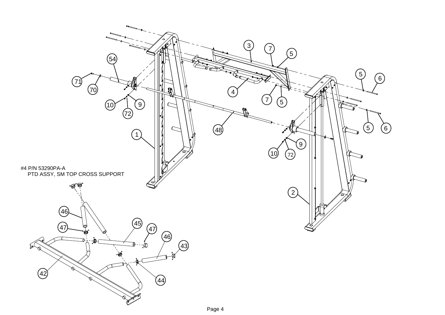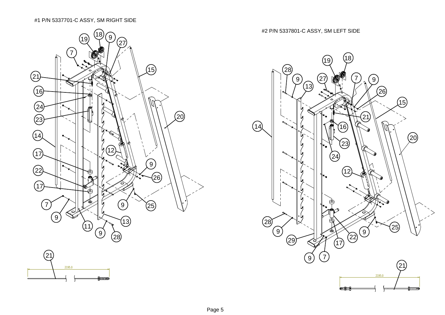## #1 P/N 5337701-C ASSY, SM RIGHT SIDE



<del>frans</del>

#2 P/N 5337801-C ASSY, SM LEFT SIDE

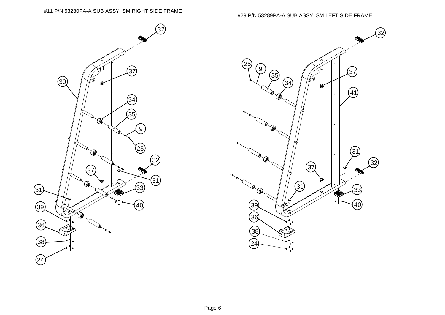